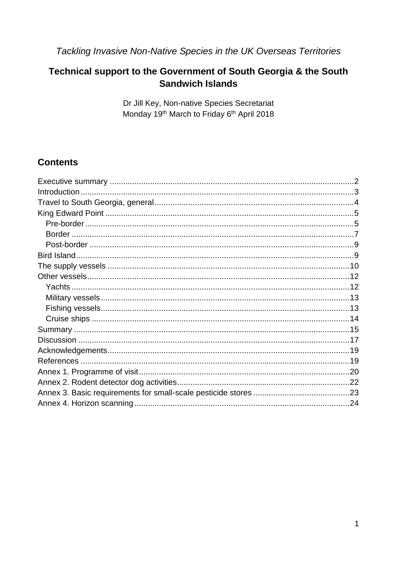Tackling Invasive Non-Native Species in the UK Overseas Territories

## Technical support to the Government of South Georgia & the South **Sandwich Islands**

Dr Jill Key, Non-native Species Secretariat Monday 19th March to Friday 6th April 2018

## **Contents**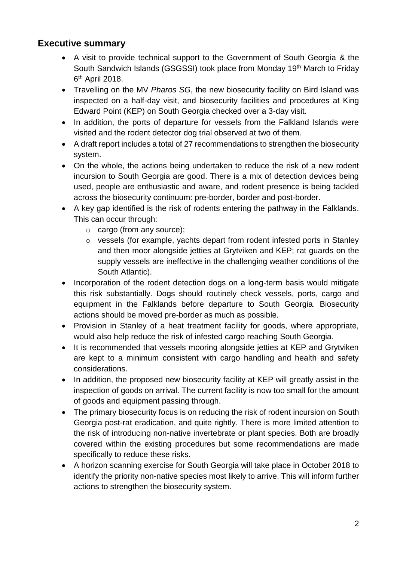### <span id="page-1-0"></span>**Executive summary**

- A visit to provide technical support to the Government of South Georgia & the South Sandwich Islands (GSGSSI) took place from Monday 19<sup>th</sup> March to Friday 6<sup>th</sup> April 2018.
- Travelling on the MV *Pharos SG*, the new biosecurity facility on Bird Island was inspected on a half-day visit, and biosecurity facilities and procedures at King Edward Point (KEP) on South Georgia checked over a 3-day visit.
- In addition, the ports of departure for vessels from the Falkland Islands were visited and the rodent detector dog trial observed at two of them.
- A draft report includes a total of 27 recommendations to strengthen the biosecurity system.
- On the whole, the actions being undertaken to reduce the risk of a new rodent incursion to South Georgia are good. There is a mix of detection devices being used, people are enthusiastic and aware, and rodent presence is being tackled across the biosecurity continuum: pre-border, border and post-border.
- A key gap identified is the risk of rodents entering the pathway in the Falklands. This can occur through:
	- o cargo (from any source);
	- o vessels (for example, yachts depart from rodent infested ports in Stanley and then moor alongside jetties at Grytviken and KEP; rat guards on the supply vessels are ineffective in the challenging weather conditions of the South Atlantic).
- Incorporation of the rodent detection dogs on a long-term basis would mitigate this risk substantially. Dogs should routinely check vessels, ports, cargo and equipment in the Falklands before departure to South Georgia. Biosecurity actions should be moved pre-border as much as possible.
- Provision in Stanley of a heat treatment facility for goods, where appropriate, would also help reduce the risk of infested cargo reaching South Georgia.
- It is recommended that vessels mooring alongside jetties at KEP and Grytviken are kept to a minimum consistent with cargo handling and health and safety considerations.
- In addition, the proposed new biosecurity facility at KEP will greatly assist in the inspection of goods on arrival. The current facility is now too small for the amount of goods and equipment passing through.
- The primary biosecurity focus is on reducing the risk of rodent incursion on South Georgia post-rat eradication, and quite rightly. There is more limited attention to the risk of introducing non-native invertebrate or plant species. Both are broadly covered within the existing procedures but some recommendations are made specifically to reduce these risks.
- A horizon scanning exercise for South Georgia will take place in October 2018 to identify the priority non-native species most likely to arrive. This will inform further actions to strengthen the biosecurity system.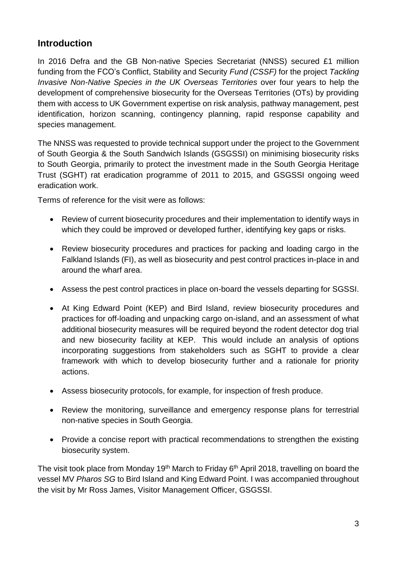## <span id="page-2-0"></span>**Introduction**

In 2016 Defra and the GB Non-native Species Secretariat (NNSS) secured £1 million funding from the FCO's Conflict, Stability and Security *Fund (CSSF)* for the project *Tackling Invasive Non-Native Species in the UK Overseas Territories* over four years to help the development of comprehensive biosecurity for the Overseas Territories (OTs) by providing them with access to UK Government expertise on risk analysis, pathway management, pest identification, horizon scanning, contingency planning, rapid response capability and species management.

The NNSS was requested to provide technical support under the project to the Government of South Georgia & the South Sandwich Islands (GSGSSI) on minimising biosecurity risks to South Georgia, primarily to protect the investment made in the South Georgia Heritage Trust (SGHT) rat eradication programme of 2011 to 2015, and GSGSSI ongoing weed eradication work.

Terms of reference for the visit were as follows:

- Review of current biosecurity procedures and their implementation to identify ways in which they could be improved or developed further, identifying key gaps or risks.
- Review biosecurity procedures and practices for packing and loading cargo in the Falkland Islands (FI), as well as biosecurity and pest control practices in-place in and around the wharf area.
- Assess the pest control practices in place on-board the vessels departing for SGSSI.
- At King Edward Point (KEP) and Bird Island, review biosecurity procedures and practices for off-loading and unpacking cargo on-island, and an assessment of what additional biosecurity measures will be required beyond the rodent detector dog trial and new biosecurity facility at KEP. This would include an analysis of options incorporating suggestions from stakeholders such as SGHT to provide a clear framework with which to develop biosecurity further and a rationale for priority actions.
- Assess biosecurity protocols, for example, for inspection of fresh produce.
- Review the monitoring, surveillance and emergency response plans for terrestrial non-native species in South Georgia.
- Provide a concise report with practical recommendations to strengthen the existing biosecurity system.

The visit took place from Monday 19<sup>th</sup> March to Friday  $6<sup>th</sup>$  April 2018, travelling on board the vessel MV *Pharos SG* to Bird Island and King Edward Point. I was accompanied throughout the visit by Mr Ross James, Visitor Management Officer, GSGSSI.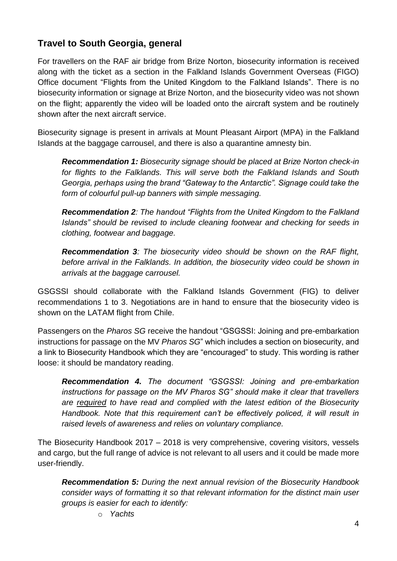## <span id="page-3-0"></span>**Travel to South Georgia, general**

For travellers on the RAF air bridge from Brize Norton, biosecurity information is received along with the ticket as a section in the Falkland Islands Government Overseas (FIGO) Office document "Flights from the United Kingdom to the Falkland Islands". There is no biosecurity information or signage at Brize Norton, and the biosecurity video was not shown on the flight; apparently the video will be loaded onto the aircraft system and be routinely shown after the next aircraft service.

Biosecurity signage is present in arrivals at Mount Pleasant Airport (MPA) in the Falkland Islands at the baggage carrousel, and there is also a quarantine amnesty bin.

*Recommendation 1: Biosecurity signage should be placed at Brize Norton check-in for flights to the Falklands. This will serve both the Falkland Islands and South Georgia, perhaps using the brand "Gateway to the Antarctic". Signage could take the form of colourful pull-up banners with simple messaging.*

*Recommendation 2: The handout "Flights from the United Kingdom to the Falkland Islands" should be revised to include cleaning footwear and checking for seeds in clothing, footwear and baggage.*

*Recommendation 3: The biosecurity video should be shown on the RAF flight, before arrival in the Falklands. In addition, the biosecurity video could be shown in arrivals at the baggage carrousel.*

GSGSSI should collaborate with the Falkland Islands Government (FIG) to deliver recommendations 1 to 3. Negotiations are in hand to ensure that the biosecurity video is shown on the LATAM flight from Chile.

Passengers on the *Pharos SG* receive the handout "GSGSSI: Joining and pre-embarkation instructions for passage on the MV *Pharos SG*" which includes a section on biosecurity, and a link to Biosecurity Handbook which they are "encouraged" to study. This wording is rather loose: it should be mandatory reading.

*Recommendation 4. The document "GSGSSI: Joining and pre-embarkation instructions for passage on the MV Pharos SG" should make it clear that travellers are required to have read and complied with the latest edition of the Biosecurity Handbook. Note that this requirement can't be effectively policed, it will result in raised levels of awareness and relies on voluntary compliance.*

The Biosecurity Handbook 2017 – 2018 is very comprehensive, covering visitors, vessels and cargo, but the full range of advice is not relevant to all users and it could be made more user-friendly.

*Recommendation 5: During the next annual revision of the Biosecurity Handbook consider ways of formatting it so that relevant information for the distinct main user groups is easier for each to identify:*

o *Yachts*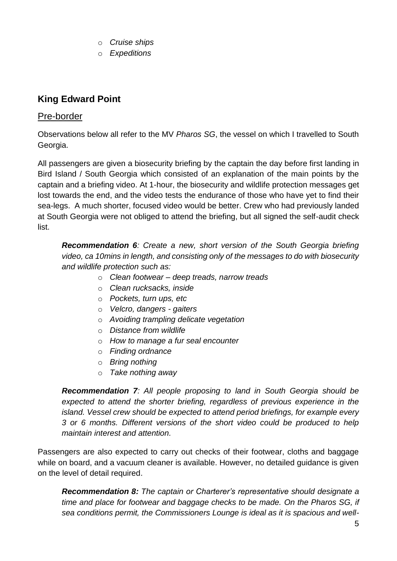- o *Cruise ships*
- o *Expeditions*

## <span id="page-4-0"></span>**King Edward Point**

### <span id="page-4-1"></span>Pre-border

Observations below all refer to the MV *Pharos SG*, the vessel on which I travelled to South Georgia.

All passengers are given a biosecurity briefing by the captain the day before first landing in Bird Island / South Georgia which consisted of an explanation of the main points by the captain and a briefing video. At 1-hour, the biosecurity and wildlife protection messages get lost towards the end, and the video tests the endurance of those who have yet to find their sea-legs. A much shorter, focused video would be better. Crew who had previously landed at South Georgia were not obliged to attend the briefing, but all signed the self-audit check list.

*Recommendation 6: Create a new, short version of the South Georgia briefing video, ca 10mins in length, and consisting only of the messages to do with biosecurity and wildlife protection such as:*

- o *Clean footwear – deep treads, narrow treads*
- o *Clean rucksacks, inside*
- o *Pockets, turn ups, etc*
- o *Velcro, dangers - gaiters*
- o *Avoiding trampling delicate vegetation*
- o *Distance from wildlife*
- o *How to manage a fur seal encounter*
- o *Finding ordnance*
- o *Bring nothing*
- o *Take nothing away*

*Recommendation 7: All people proposing to land in South Georgia should be expected to attend the shorter briefing, regardless of previous experience in the island. Vessel crew should be expected to attend period briefings, for example every 3 or 6 months. Different versions of the short video could be produced to help maintain interest and attention.*

Passengers are also expected to carry out checks of their footwear, cloths and baggage while on board, and a vacuum cleaner is available. However, no detailed guidance is given on the level of detail required.

*Recommendation 8: The captain or Charterer's representative should designate a time and place for footwear and baggage checks to be made. On the Pharos SG, if sea conditions permit, the Commissioners Lounge is ideal as it is spacious and well-*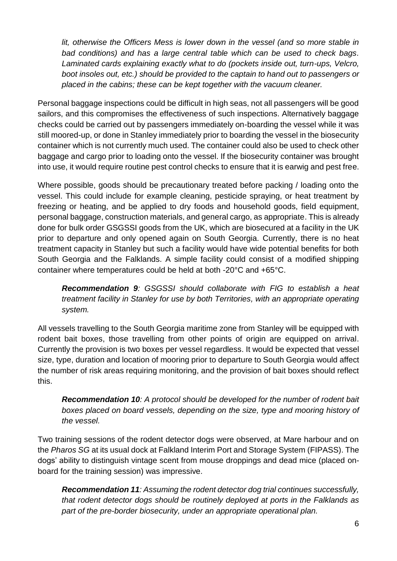*lit, otherwise the Officers Mess is lower down in the vessel (and so more stable in bad conditions) and has a large central table which can be used to check bags. Laminated cards explaining exactly what to do (pockets inside out, turn-ups, Velcro, boot insoles out, etc.) should be provided to the captain to hand out to passengers or placed in the cabins; these can be kept together with the vacuum cleaner.* 

Personal baggage inspections could be difficult in high seas, not all passengers will be good sailors, and this compromises the effectiveness of such inspections. Alternatively baggage checks could be carried out by passengers immediately on-boarding the vessel while it was still moored-up, or done in Stanley immediately prior to boarding the vessel in the biosecurity container which is not currently much used. The container could also be used to check other baggage and cargo prior to loading onto the vessel. If the biosecurity container was brought into use, it would require routine pest control checks to ensure that it is earwig and pest free.

Where possible, goods should be precautionary treated before packing / loading onto the vessel. This could include for example cleaning, pesticide spraying, or heat treatment by freezing or heating, and be applied to dry foods and household goods, field equipment, personal baggage, construction materials, and general cargo, as appropriate. This is already done for bulk order GSGSSI goods from the UK, which are biosecured at a facility in the UK prior to departure and only opened again on South Georgia. Currently, there is no heat treatment capacity in Stanley but such a facility would have wide potential benefits for both South Georgia and the Falklands. A simple facility could consist of a modified shipping container where temperatures could be held at both -20°C and +65°C.

*Recommendation 9: GSGSSI should collaborate with FIG to establish a heat treatment facility in Stanley for use by both Territories, with an appropriate operating system.* 

All vessels travelling to the South Georgia maritime zone from Stanley will be equipped with rodent bait boxes, those travelling from other points of origin are equipped on arrival. Currently the provision is two boxes per vessel regardless. It would be expected that vessel size, type, duration and location of mooring prior to departure to South Georgia would affect the number of risk areas requiring monitoring, and the provision of bait boxes should reflect this.

*Recommendation 10: A protocol should be developed for the number of rodent bait boxes placed on board vessels, depending on the size, type and mooring history of the vessel.*

Two training sessions of the rodent detector dogs were observed, at Mare harbour and on the *Pharos SG* at its usual dock at Falkland Interim Port and Storage System (FIPASS). The dogs' ability to distinguish vintage scent from mouse droppings and dead mice (placed onboard for the training session) was impressive.

*Recommendation 11: Assuming the rodent detector dog trial continues successfully, that rodent detector dogs should be routinely deployed at ports in the Falklands as part of the pre-border biosecurity, under an appropriate operational plan.*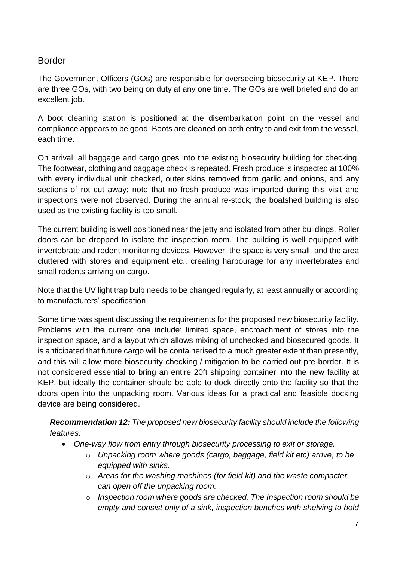### <span id="page-6-0"></span>Border

The Government Officers (GOs) are responsible for overseeing biosecurity at KEP. There are three GOs, with two being on duty at any one time. The GOs are well briefed and do an excellent job.

A boot cleaning station is positioned at the disembarkation point on the vessel and compliance appears to be good. Boots are cleaned on both entry to and exit from the vessel, each time.

On arrival, all baggage and cargo goes into the existing biosecurity building for checking. The footwear, clothing and baggage check is repeated. Fresh produce is inspected at 100% with every individual unit checked, outer skins removed from garlic and onions, and any sections of rot cut away; note that no fresh produce was imported during this visit and inspections were not observed. During the annual re-stock, the boatshed building is also used as the existing facility is too small.

The current building is well positioned near the jetty and isolated from other buildings. Roller doors can be dropped to isolate the inspection room. The building is well equipped with invertebrate and rodent monitoring devices. However, the space is very small, and the area cluttered with stores and equipment etc., creating harbourage for any invertebrates and small rodents arriving on cargo.

Note that the UV light trap bulb needs to be changed regularly, at least annually or according to manufacturers' specification.

Some time was spent discussing the requirements for the proposed new biosecurity facility. Problems with the current one include: limited space, encroachment of stores into the inspection space, and a layout which allows mixing of unchecked and biosecured goods. It is anticipated that future cargo will be containerised to a much greater extent than presently, and this will allow more biosecurity checking / mitigation to be carried out pre-border. It is not considered essential to bring an entire 20ft shipping container into the new facility at KEP, but ideally the container should be able to dock directly onto the facility so that the doors open into the unpacking room. Various ideas for a practical and feasible docking device are being considered.

*Recommendation 12: The proposed new biosecurity facility should include the following features:*

- *One-way flow from entry through biosecurity processing to exit or storage.*
	- o *Unpacking room where goods (cargo, baggage, field kit etc) arrive, to be equipped with sinks.*
	- o *Areas for the washing machines (for field kit) and the waste compacter can open off the unpacking room.*
	- o *Inspection room where goods are checked. The Inspection room should be empty and consist only of a sink, inspection benches with shelving to hold*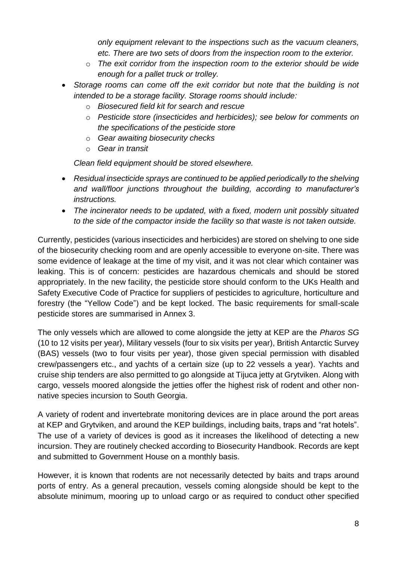*only equipment relevant to the inspections such as the vacuum cleaners, etc. There are two sets of doors from the inspection room to the exterior.*

- o *The exit corridor from the inspection room to the exterior should be wide enough for a pallet truck or trolley.*
- *Storage rooms can come off the exit corridor but note that the building is not intended to be a storage facility. Storage rooms should include:*
	- o *Biosecured field kit for search and rescue*
	- o *Pesticide store (insecticides and herbicides); see below for comments on the specifications of the pesticide store*
	- o *Gear awaiting biosecurity checks*
	- o *Gear in transit*

*Clean field equipment should be stored elsewhere.*

- *Residual insecticide sprays are continued to be applied periodically to the shelving and wall/floor junctions throughout the building, according to manufacturer's instructions.*
- *The incinerator needs to be updated, with a fixed, modern unit possibly situated to the side of the compactor inside the facility so that waste is not taken outside.*

Currently, pesticides (various insecticides and herbicides) are stored on shelving to one side of the biosecurity checking room and are openly accessible to everyone on-site. There was some evidence of leakage at the time of my visit, and it was not clear which container was leaking. This is of concern: pesticides are hazardous chemicals and should be stored appropriately. In the new facility, the pesticide store should conform to the UKs Health and Safety Executive Code of Practice for suppliers of pesticides to agriculture, horticulture and forestry (the "Yellow Code") and be kept locked. The basic requirements for small-scale pesticide stores are summarised in Annex 3.

The only vessels which are allowed to come alongside the jetty at KEP are the *Pharos SG* (10 to 12 visits per year), Military vessels (four to six visits per year), British Antarctic Survey (BAS) vessels (two to four visits per year), those given special permission with disabled crew/passengers etc., and yachts of a certain size (up to 22 vessels a year). Yachts and cruise ship tenders are also permitted to go alongside at Tijuca jetty at Grytviken. Along with cargo, vessels moored alongside the jetties offer the highest risk of rodent and other nonnative species incursion to South Georgia.

A variety of rodent and invertebrate monitoring devices are in place around the port areas at KEP and Grytviken, and around the KEP buildings, including baits, traps and "rat hotels". The use of a variety of devices is good as it increases the likelihood of detecting a new incursion. They are routinely checked according to Biosecurity Handbook. Records are kept and submitted to Government House on a monthly basis.

However, it is known that rodents are not necessarily detected by baits and traps around ports of entry. As a general precaution, vessels coming alongside should be kept to the absolute minimum, mooring up to unload cargo or as required to conduct other specified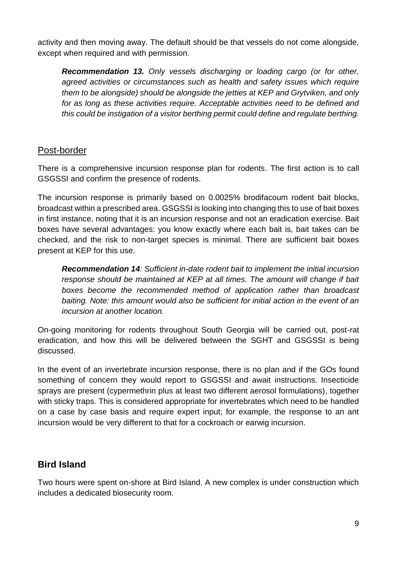activity and then moving away. The default should be that vessels do not come alongside, except when required and with permission.

*Recommendation 13. Only vessels discharging or loading cargo (or for other, agreed activities or circumstances such as health and safety issues which require them to be alongside) should be alongside the jetties at KEP and Grytviken, and only for as long as these activities require. Acceptable activities need to be defined and this could be instigation of a visitor berthing permit could define and regulate berthing.*

### <span id="page-8-0"></span>Post-border

There is a comprehensive incursion response plan for rodents. The first action is to call GSGSSI and confirm the presence of rodents.

The incursion response is primarily based on 0.0025% brodifacoum rodent bait blocks, broadcast within a prescribed area. GSGSSI is looking into changing this to use of bait boxes in first instance, noting that it is an incursion response and not an eradication exercise. Bait boxes have several advantages: you know exactly where each bait is, bait takes can be checked, and the risk to non-target species is minimal. There are sufficient bait boxes present at KEP for this use.

*Recommendation 14: Sufficient in-date rodent bait to implement the initial incursion response should be maintained at KEP at all times. The amount will change if bait boxes become the recommended method of application rather than broadcast baiting. Note: this amount would also be sufficient for initial action in the event of an incursion at another location.* 

On-going monitoring for rodents throughout South Georgia will be carried out, post-rat eradication, and how this will be delivered between the SGHT and GSGSSI is being discussed.

In the event of an invertebrate incursion response, there is no plan and if the GOs found something of concern they would report to GSGSSI and await instructions. Insecticide sprays are present (cypermethrin plus at least two different aerosol formulations), together with sticky traps. This is considered appropriate for invertebrates which need to be handled on a case by case basis and require expert input; for example, the response to an ant incursion would be very different to that for a cockroach or earwig incursion.

## <span id="page-8-1"></span>**Bird Island**

Two hours were spent on-shore at Bird Island. A new complex is under construction which includes a dedicated biosecurity room.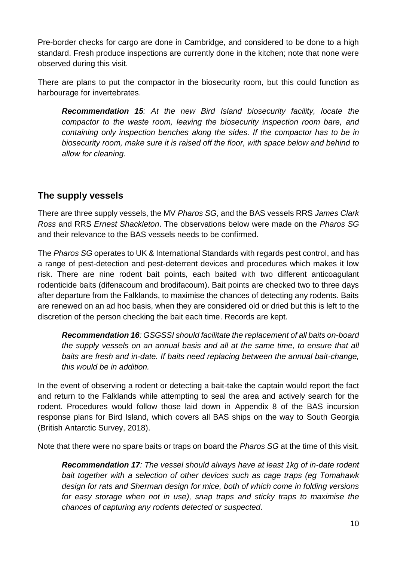Pre-border checks for cargo are done in Cambridge, and considered to be done to a high standard. Fresh produce inspections are currently done in the kitchen; note that none were observed during this visit.

There are plans to put the compactor in the biosecurity room, but this could function as harbourage for invertebrates.

*Recommendation 15: At the new Bird Island biosecurity facility, locate the compactor to the waste room, leaving the biosecurity inspection room bare, and containing only inspection benches along the sides. If the compactor has to be in biosecurity room, make sure it is raised off the floor, with space below and behind to allow for cleaning.* 

## <span id="page-9-0"></span>**The supply vessels**

There are three supply vessels, the MV *Pharos SG*, and the BAS vessels RRS *James Clark Ross* and RRS *Ernest Shackleton*. The observations below were made on the *Pharos SG* and their relevance to the BAS vessels needs to be confirmed.

The *Pharos SG* operates to UK & International Standards with regards pest control, and has a range of pest-detection and pest-deterrent devices and procedures which makes it low risk. There are nine rodent bait points, each baited with two different anticoagulant rodenticide baits (difenacoum and brodifacoum). Bait points are checked two to three days after departure from the Falklands, to maximise the chances of detecting any rodents. Baits are renewed on an ad hoc basis, when they are considered old or dried but this is left to the discretion of the person checking the bait each time. Records are kept.

*Recommendation 16: GSGSSI should facilitate the replacement of all baits on-board the supply vessels on an annual basis and all at the same time, to ensure that all baits are fresh and in-date. If baits need replacing between the annual bait-change, this would be in addition.*

In the event of observing a rodent or detecting a bait-take the captain would report the fact and return to the Falklands while attempting to seal the area and actively search for the rodent. Procedures would follow those laid down in Appendix 8 of the BAS incursion response plans for Bird Island, which covers all BAS ships on the way to South Georgia (British Antarctic Survey, 2018).

Note that there were no spare baits or traps on board the *Pharos SG* at the time of this visit.

*Recommendation 17: The vessel should always have at least 1kg of in-date rodent bait together with a selection of other devices such as cage traps (eg Tomahawk design for rats and Sherman design for mice, both of which come in folding versions for easy storage when not in use), snap traps and sticky traps to maximise the chances of capturing any rodents detected or suspected.*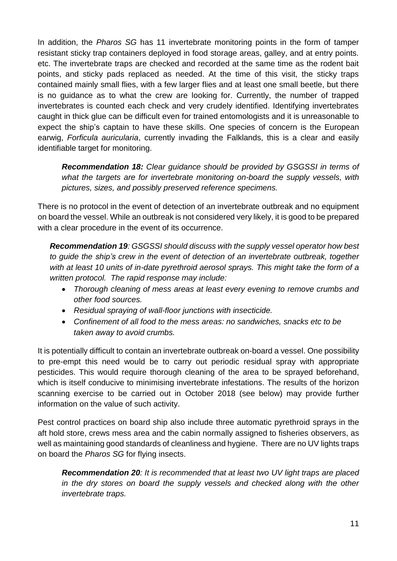In addition, the *Pharos SG* has 11 invertebrate monitoring points in the form of tamper resistant sticky trap containers deployed in food storage areas, galley, and at entry points. etc. The invertebrate traps are checked and recorded at the same time as the rodent bait points, and sticky pads replaced as needed. At the time of this visit, the sticky traps contained mainly small flies, with a few larger flies and at least one small beetle, but there is no guidance as to what the crew are looking for. Currently, the number of trapped invertebrates is counted each check and very crudely identified. Identifying invertebrates caught in thick glue can be difficult even for trained entomologists and it is unreasonable to expect the ship's captain to have these skills. One species of concern is the European earwig, *Forficula auricularia*, currently invading the Falklands, this is a clear and easily identifiable target for monitoring.

*Recommendation 18: Clear guidance should be provided by GSGSSI in terms of what the targets are for invertebrate monitoring on-board the supply vessels, with pictures, sizes, and possibly preserved reference specimens.* 

There is no protocol in the event of detection of an invertebrate outbreak and no equipment on board the vessel. While an outbreak is not considered very likely, it is good to be prepared with a clear procedure in the event of its occurrence.

*Recommendation 19: GSGSSI should discuss with the supply vessel operator how best to guide the ship's crew in the event of detection of an invertebrate outbreak, together with at least 10 units of in-date pyrethroid aerosol sprays. This might take the form of a written protocol. The rapid response may include:*

- *Thorough cleaning of mess areas at least every evening to remove crumbs and other food sources.*
- *Residual spraying of wall-floor junctions with insecticide.*
- *Confinement of all food to the mess areas: no sandwiches, snacks etc to be taken away to avoid crumbs.*

It is potentially difficult to contain an invertebrate outbreak on-board a vessel. One possibility to pre-empt this need would be to carry out periodic residual spray with appropriate pesticides. This would require thorough cleaning of the area to be sprayed beforehand, which is itself conducive to minimising invertebrate infestations. The results of the horizon scanning exercise to be carried out in October 2018 (see below) may provide further information on the value of such activity.

Pest control practices on board ship also include three automatic pyrethroid sprays in the aft hold store, crews mess area and the cabin normally assigned to fisheries observers, as well as maintaining good standards of cleanliness and hygiene. There are no UV lights traps on board the *Pharos SG* for flying insects.

*Recommendation 20: It is recommended that at least two UV light traps are placed*  in the dry stores on board the supply vessels and checked along with the other *invertebrate traps.*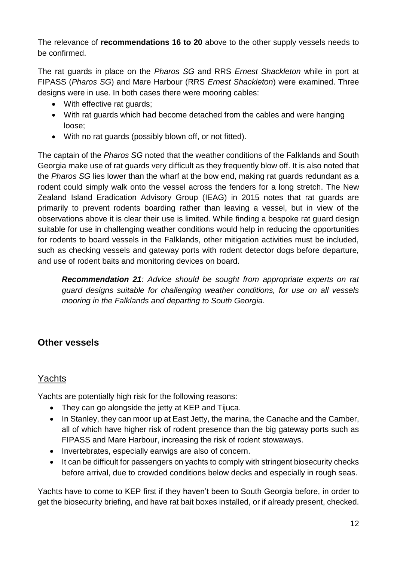The relevance of **recommendations 16 to 20** above to the other supply vessels needs to be confirmed.

The rat guards in place on the *Pharos SG* and RRS *Ernest Shackleton* while in port at FIPASS (*Pharos SG*) and Mare Harbour (RRS *Ernest Shackleton*) were examined. Three designs were in use. In both cases there were mooring cables:

- With effective rat quards;
- With rat guards which had become detached from the cables and were hanging loose;
- With no rat guards (possibly blown off, or not fitted).

The captain of the *Pharos SG* noted that the weather conditions of the Falklands and South Georgia make use of rat guards very difficult as they frequently blow off. It is also noted that the *Pharos SG* lies lower than the wharf at the bow end, making rat guards redundant as a rodent could simply walk onto the vessel across the fenders for a long stretch. The New Zealand Island Eradication Advisory Group (IEAG) in 2015 notes that rat guards are primarily to prevent rodents boarding rather than leaving a vessel, but in view of the observations above it is clear their use is limited. While finding a bespoke rat guard design suitable for use in challenging weather conditions would help in reducing the opportunities for rodents to board vessels in the Falklands, other mitigation activities must be included, such as checking vessels and gateway ports with rodent detector dogs before departure, and use of rodent baits and monitoring devices on board.

*Recommendation 21: Advice should be sought from appropriate experts on rat guard designs suitable for challenging weather conditions, for use on all vessels mooring in the Falklands and departing to South Georgia.* 

## <span id="page-11-0"></span>**Other vessels**

## <span id="page-11-1"></span>Yachts

Yachts are potentially high risk for the following reasons:

- They can go alongside the jetty at KEP and Tijuca.
- In Stanley, they can moor up at East Jetty, the marina, the Canache and the Camber, all of which have higher risk of rodent presence than the big gateway ports such as FIPASS and Mare Harbour, increasing the risk of rodent stowaways.
- Invertebrates, especially earwigs are also of concern.
- It can be difficult for passengers on yachts to comply with stringent biosecurity checks before arrival, due to crowded conditions below decks and especially in rough seas.

Yachts have to come to KEP first if they haven't been to South Georgia before, in order to get the biosecurity briefing, and have rat bait boxes installed, or if already present, checked.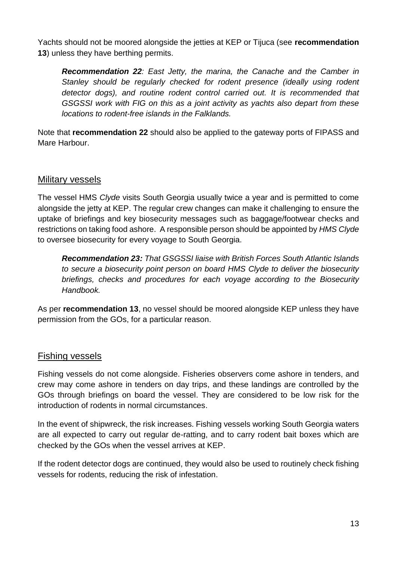Yachts should not be moored alongside the jetties at KEP or Tijuca (see **recommendation 13**) unless they have berthing permits.

*Recommendation 22: East Jetty, the marina, the Canache and the Camber in Stanley should be regularly checked for rodent presence (ideally using rodent detector dogs), and routine rodent control carried out. It is recommended that GSGSSI work with FIG on this as a joint activity as yachts also depart from these locations to rodent-free islands in the Falklands.* 

Note that **recommendation 22** should also be applied to the gateway ports of FIPASS and Mare Harbour.

### <span id="page-12-0"></span>Military vessels

The vessel HMS *Clyde* visits South Georgia usually twice a year and is permitted to come alongside the jetty at KEP. The regular crew changes can make it challenging to ensure the uptake of briefings and key biosecurity messages such as baggage/footwear checks and restrictions on taking food ashore. A responsible person should be appointed by *HMS Clyde* to oversee biosecurity for every voyage to South Georgia.

*Recommendation 23: That GSGSSI liaise with British Forces South Atlantic Islands to secure a biosecurity point person on board HMS Clyde to deliver the biosecurity briefings, checks and procedures for each voyage according to the Biosecurity Handbook.*

As per **recommendation 13**, no vessel should be moored alongside KEP unless they have permission from the GOs, for a particular reason.

#### <span id="page-12-1"></span>Fishing vessels

Fishing vessels do not come alongside. Fisheries observers come ashore in tenders, and crew may come ashore in tenders on day trips, and these landings are controlled by the GOs through briefings on board the vessel. They are considered to be low risk for the introduction of rodents in normal circumstances.

In the event of shipwreck, the risk increases. Fishing vessels working South Georgia waters are all expected to carry out regular de-ratting, and to carry rodent bait boxes which are checked by the GOs when the vessel arrives at KEP.

If the rodent detector dogs are continued, they would also be used to routinely check fishing vessels for rodents, reducing the risk of infestation.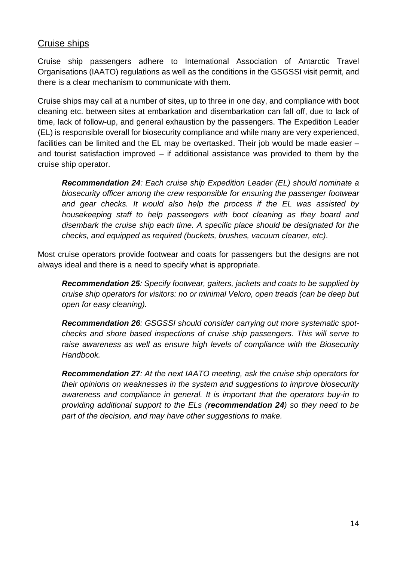### <span id="page-13-0"></span>Cruise ships

Cruise ship passengers adhere to International Association of Antarctic Travel Organisations (IAATO) regulations as well as the conditions in the GSGSSI visit permit, and there is a clear mechanism to communicate with them.

Cruise ships may call at a number of sites, up to three in one day, and compliance with boot cleaning etc. between sites at embarkation and disembarkation can fall off, due to lack of time, lack of follow-up, and general exhaustion by the passengers. The Expedition Leader (EL) is responsible overall for biosecurity compliance and while many are very experienced, facilities can be limited and the EL may be overtasked. Their job would be made easier – and tourist satisfaction improved – if additional assistance was provided to them by the cruise ship operator.

*Recommendation 24: Each cruise ship Expedition Leader (EL) should nominate a biosecurity officer among the crew responsible for ensuring the passenger footwear and gear checks. It would also help the process if the EL was assisted by housekeeping staff to help passengers with boot cleaning as they board and disembark the cruise ship each time. A specific place should be designated for the checks, and equipped as required (buckets, brushes, vacuum cleaner, etc).* 

Most cruise operators provide footwear and coats for passengers but the designs are not always ideal and there is a need to specify what is appropriate.

*Recommendation 25: Specify footwear, gaiters, jackets and coats to be supplied by cruise ship operators for visitors: no or minimal Velcro, open treads (can be deep but open for easy cleaning).* 

*Recommendation 26: GSGSSI should consider carrying out more systematic spotchecks and shore based inspections of cruise ship passengers. This will serve to*  raise awareness as well as ensure high levels of compliance with the Biosecurity *Handbook.* 

*Recommendation 27: At the next IAATO meeting, ask the cruise ship operators for their opinions on weaknesses in the system and suggestions to improve biosecurity awareness and compliance in general. It is important that the operators buy-in to providing additional support to the ELs (recommendation 24) so they need to be part of the decision, and may have other suggestions to make.*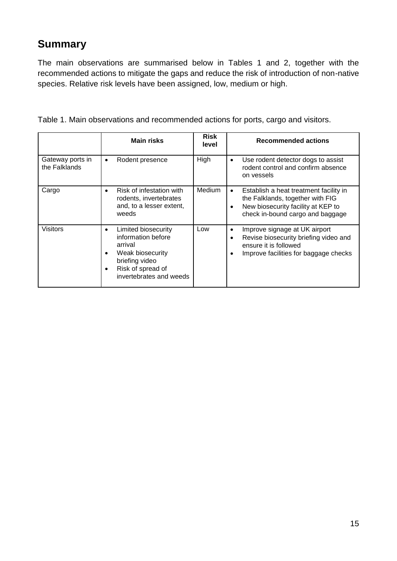## <span id="page-14-0"></span>**Summary**

The main observations are summarised below in Tables 1 and 2, together with the recommended actions to mitigate the gaps and reduce the risk of introduction of non-native species. Relative risk levels have been assigned, low, medium or high.

|  | Table 1. Main observations and recommended actions for ports, cargo and visitors. |  |  |  |
|--|-----------------------------------------------------------------------------------|--|--|--|
|  |                                                                                   |  |  |  |

|                                   | <b>Main risks</b>                                                                                                                                         | <b>Risk</b><br>level | <b>Recommended actions</b>                                                                                                                                                     |
|-----------------------------------|-----------------------------------------------------------------------------------------------------------------------------------------------------------|----------------------|--------------------------------------------------------------------------------------------------------------------------------------------------------------------------------|
| Gateway ports in<br>the Falklands | Rodent presence<br>$\bullet$                                                                                                                              | High                 | Use rodent detector dogs to assist<br>٠<br>rodent control and confirm absence<br>on vessels                                                                                    |
| Cargo                             | Risk of infestation with<br>rodents, invertebrates<br>and, to a lesser extent,<br>weeds                                                                   | <b>Medium</b>        | Establish a heat treatment facility in<br>$\bullet$<br>the Falklands, together with FIG<br>New biosecurity facility at KEP to<br>$\bullet$<br>check in-bound cargo and baggage |
| <b>Visitors</b>                   | Limited biosecurity<br>٠<br>information before<br>arrival<br>Weak biosecurity<br>٠<br>briefing video<br>Risk of spread of<br>٠<br>invertebrates and weeds | Low                  | Improve signage at UK airport<br>٠<br>Revise biosecurity briefing video and<br>٠<br>ensure it is followed<br>Improve facilities for baggage checks<br>$\bullet$                |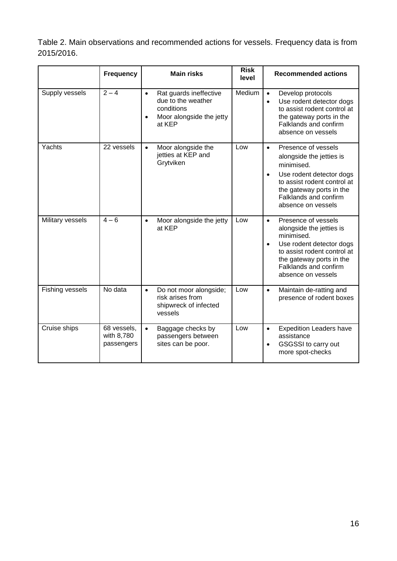Table 2. Main observations and recommended actions for vessels. Frequency data is from 2015/2016.

|                  | <b>Frequency</b>                        | <b>Main risks</b>                                                                                                          | <b>Risk</b><br>level | <b>Recommended actions</b>                                                                                                                                                                                                    |  |
|------------------|-----------------------------------------|----------------------------------------------------------------------------------------------------------------------------|----------------------|-------------------------------------------------------------------------------------------------------------------------------------------------------------------------------------------------------------------------------|--|
| Supply vessels   | $2 - 4$                                 | Rat guards ineffective<br>$\bullet$<br>due to the weather<br>conditions<br>Moor alongside the jetty<br>$\bullet$<br>at KEP | Medium               | Develop protocols<br>$\bullet$<br>Use rodent detector dogs<br>$\bullet$<br>to assist rodent control at<br>the gateway ports in the<br>Falklands and confirm<br>absence on vessels                                             |  |
| Yachts           | 22 vessels                              | Moor alongside the<br>$\bullet$<br>jetties at KEP and<br>Grytviken                                                         | Low                  | Presence of vessels<br>$\bullet$<br>alongside the jetties is<br>minimised.<br>Use rodent detector dogs<br>$\bullet$<br>to assist rodent control at<br>the gateway ports in the<br>Falklands and confirm<br>absence on vessels |  |
| Military vessels | $4 - 6$                                 | Moor alongside the jetty<br>$\bullet$<br>at KEP                                                                            | Low                  | Presence of vessels<br>$\bullet$<br>alongside the jetties is<br>minimised.<br>Use rodent detector dogs<br>$\bullet$<br>to assist rodent control at<br>the gateway ports in the<br>Falklands and confirm<br>absence on vessels |  |
| Fishing vessels  | No data                                 | Do not moor alongside;<br>$\bullet$<br>risk arises from<br>shipwreck of infected<br>vessels                                | Low                  | Maintain de-ratting and<br>$\bullet$<br>presence of rodent boxes                                                                                                                                                              |  |
| Cruise ships     | 68 vessels,<br>with 8,780<br>passengers | $\bullet$<br>Baggage checks by<br>passengers between<br>sites can be poor.                                                 | Low                  | <b>Expedition Leaders have</b><br>$\bullet$<br>assistance<br><b>GSGSSI</b> to carry out<br>$\bullet$<br>more spot-checks                                                                                                      |  |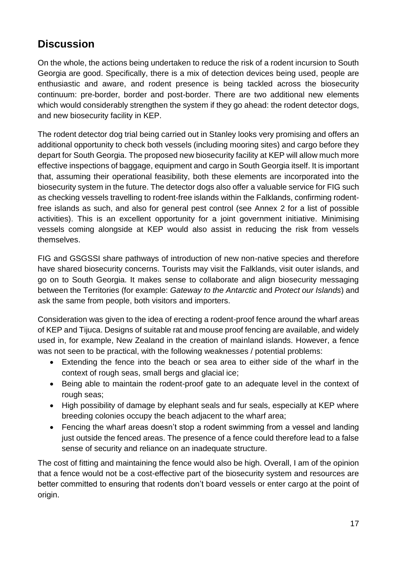## <span id="page-16-0"></span>**Discussion**

On the whole, the actions being undertaken to reduce the risk of a rodent incursion to South Georgia are good. Specifically, there is a mix of detection devices being used, people are enthusiastic and aware, and rodent presence is being tackled across the biosecurity continuum: pre-border, border and post-border. There are two additional new elements which would considerably strengthen the system if they go ahead: the rodent detector dogs, and new biosecurity facility in KEP.

The rodent detector dog trial being carried out in Stanley looks very promising and offers an additional opportunity to check both vessels (including mooring sites) and cargo before they depart for South Georgia. The proposed new biosecurity facility at KEP will allow much more effective inspections of baggage, equipment and cargo in South Georgia itself. It is important that, assuming their operational feasibility, both these elements are incorporated into the biosecurity system in the future. The detector dogs also offer a valuable service for FIG such as checking vessels travelling to rodent-free islands within the Falklands, confirming rodentfree islands as such, and also for general pest control (see Annex 2 for a list of possible activities). This is an excellent opportunity for a joint government initiative. Minimising vessels coming alongside at KEP would also assist in reducing the risk from vessels themselves.

FIG and GSGSSI share pathways of introduction of new non-native species and therefore have shared biosecurity concerns. Tourists may visit the Falklands, visit outer islands, and go on to South Georgia. It makes sense to collaborate and align biosecurity messaging between the Territories (for example: *Gateway to the Antarctic* and *Protect our Islands*) and ask the same from people, both visitors and importers.

Consideration was given to the idea of erecting a rodent-proof fence around the wharf areas of KEP and Tijuca. Designs of suitable rat and mouse proof fencing are available, and widely used in, for example, New Zealand in the creation of mainland islands. However, a fence was not seen to be practical, with the following weaknesses / potential problems:

- Extending the fence into the beach or sea area to either side of the wharf in the context of rough seas, small bergs and glacial ice;
- Being able to maintain the rodent-proof gate to an adequate level in the context of rough seas;
- High possibility of damage by elephant seals and fur seals, especially at KEP where breeding colonies occupy the beach adjacent to the wharf area;
- Fencing the wharf areas doesn't stop a rodent swimming from a vessel and landing just outside the fenced areas. The presence of a fence could therefore lead to a false sense of security and reliance on an inadequate structure.

The cost of fitting and maintaining the fence would also be high. Overall, I am of the opinion that a fence would not be a cost-effective part of the biosecurity system and resources are better committed to ensuring that rodents don't board vessels or enter cargo at the point of origin.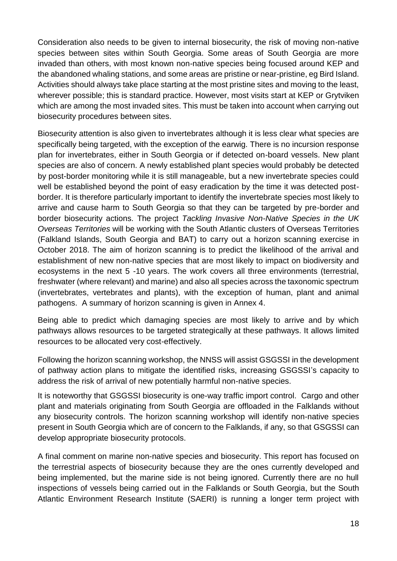Consideration also needs to be given to internal biosecurity, the risk of moving non-native species between sites within South Georgia. Some areas of South Georgia are more invaded than others, with most known non-native species being focused around KEP and the abandoned whaling stations, and some areas are pristine or near-pristine, eg Bird Island. Activities should always take place starting at the most pristine sites and moving to the least, wherever possible; this is standard practice. However, most visits start at KEP or Grytviken which are among the most invaded sites. This must be taken into account when carrying out biosecurity procedures between sites.

Biosecurity attention is also given to invertebrates although it is less clear what species are specifically being targeted, with the exception of the earwig. There is no incursion response plan for invertebrates, either in South Georgia or if detected on-board vessels. New plant species are also of concern. A newly established plant species would probably be detected by post-border monitoring while it is still manageable, but a new invertebrate species could well be established beyond the point of easy eradication by the time it was detected postborder. It is therefore particularly important to identify the invertebrate species most likely to arrive and cause harm to South Georgia so that they can be targeted by pre-border and border biosecurity actions. The project *Tackling Invasive Non-Native Species in the UK Overseas Territories* will be working with the South Atlantic clusters of Overseas Territories (Falkland Islands, South Georgia and BAT) to carry out a horizon scanning exercise in October 2018. The aim of horizon scanning is to predict the likelihood of the arrival and establishment of new non-native species that are most likely to impact on biodiversity and ecosystems in the next 5 -10 years. The work covers all three environments (terrestrial, freshwater (where relevant) and marine) and also all species across the taxonomic spectrum (invertebrates, vertebrates and plants), with the exception of human, plant and animal pathogens. A summary of horizon scanning is given in Annex 4.

Being able to predict which damaging species are most likely to arrive and by which pathways allows resources to be targeted strategically at these pathways. It allows limited resources to be allocated very cost-effectively.

Following the horizon scanning workshop, the NNSS will assist GSGSSI in the development of pathway action plans to mitigate the identified risks, increasing GSGSSI's capacity to address the risk of arrival of new potentially harmful non-native species.

It is noteworthy that GSGSSI biosecurity is one-way traffic import control. Cargo and other plant and materials originating from South Georgia are offloaded in the Falklands without any biosecurity controls. The horizon scanning workshop will identify non-native species present in South Georgia which are of concern to the Falklands, if any, so that GSGSSI can develop appropriate biosecurity protocols.

A final comment on marine non-native species and biosecurity. This report has focused on the terrestrial aspects of biosecurity because they are the ones currently developed and being implemented, but the marine side is not being ignored. Currently there are no hull inspections of vessels being carried out in the Falklands or South Georgia, but the South Atlantic Environment Research Institute (SAERI) is running a longer term project with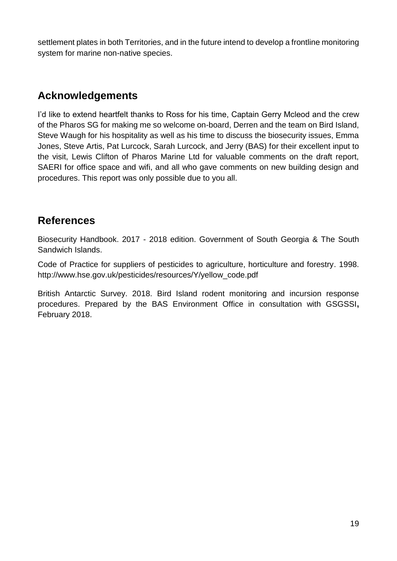settlement plates in both Territories, and in the future intend to develop a frontline monitoring system for marine non-native species.

## <span id="page-18-0"></span>**Acknowledgements**

I'd like to extend heartfelt thanks to Ross for his time, Captain Gerry Mcleod and the crew of the Pharos SG for making me so welcome on-board, Derren and the team on Bird Island, Steve Waugh for his hospitality as well as his time to discuss the biosecurity issues, Emma Jones, Steve Artis, Pat Lurcock, Sarah Lurcock, and Jerry (BAS) for their excellent input to the visit, Lewis Clifton of Pharos Marine Ltd for valuable comments on the draft report, SAERI for office space and wifi, and all who gave comments on new building design and procedures. This report was only possible due to you all.

## <span id="page-18-1"></span>**References**

Biosecurity Handbook. 2017 - 2018 edition. Government of South Georgia & The South Sandwich Islands.

Code of Practice for suppliers of pesticides to agriculture, horticulture and forestry. 1998. http://www.hse.gov.uk/pesticides/resources/Y/yellow\_code.pdf

British Antarctic Survey. 2018. Bird Island rodent monitoring and incursion response procedures. Prepared by the BAS Environment Office in consultation with GSGSSI**,**  February 2018.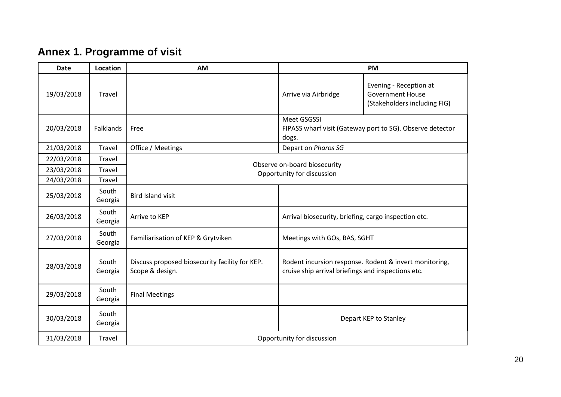# **Annex 1. Programme of visit**

<span id="page-19-0"></span>

| <b>Date</b> | Location         | <b>AM</b>                                                                                 | <b>PM</b>                                                                                                    |                                                                                   |  |
|-------------|------------------|-------------------------------------------------------------------------------------------|--------------------------------------------------------------------------------------------------------------|-----------------------------------------------------------------------------------|--|
| 19/03/2018  | Travel           |                                                                                           | Arrive via Airbridge                                                                                         | Evening - Reception at<br><b>Government House</b><br>(Stakeholders including FIG) |  |
| 20/03/2018  | Falklands        | Meet GSGSSI<br>FIPASS wharf visit (Gateway port to SG). Observe detector<br>Free<br>dogs. |                                                                                                              |                                                                                   |  |
| 21/03/2018  | Travel           | Office / Meetings                                                                         | Depart on Pharos SG                                                                                          |                                                                                   |  |
| 22/03/2018  | Travel           |                                                                                           |                                                                                                              |                                                                                   |  |
| 23/03/2018  | Travel           | Observe on-board biosecurity<br>Opportunity for discussion                                |                                                                                                              |                                                                                   |  |
| 24/03/2018  | Travel           |                                                                                           |                                                                                                              |                                                                                   |  |
| 25/03/2018  | South<br>Georgia | <b>Bird Island visit</b>                                                                  |                                                                                                              |                                                                                   |  |
| 26/03/2018  | South<br>Georgia | Arrive to KEP<br>Arrival biosecurity, briefing, cargo inspection etc.                     |                                                                                                              |                                                                                   |  |
| 27/03/2018  | South<br>Georgia | Familiarisation of KEP & Grytviken                                                        | Meetings with GOs, BAS, SGHT                                                                                 |                                                                                   |  |
| 28/03/2018  | South<br>Georgia | Discuss proposed biosecurity facility for KEP.<br>Scope & design.                         | Rodent incursion response. Rodent & invert monitoring,<br>cruise ship arrival briefings and inspections etc. |                                                                                   |  |
| 29/03/2018  | South<br>Georgia | <b>Final Meetings</b>                                                                     |                                                                                                              |                                                                                   |  |
| 30/03/2018  | South<br>Georgia |                                                                                           |                                                                                                              | Depart KEP to Stanley                                                             |  |
| 31/03/2018  | Travel           | Opportunity for discussion                                                                |                                                                                                              |                                                                                   |  |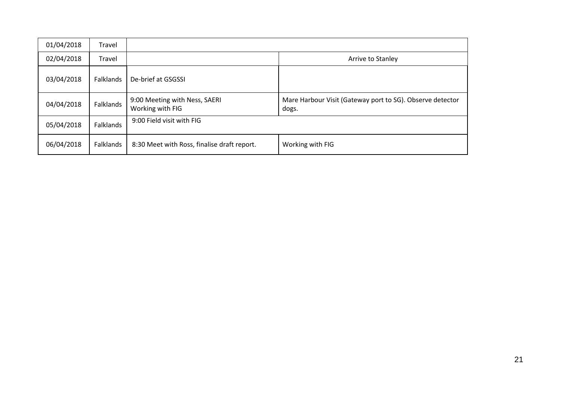| 01/04/2018 | Travel           |                                                   |                                                                    |
|------------|------------------|---------------------------------------------------|--------------------------------------------------------------------|
| 02/04/2018 | Travel           |                                                   | Arrive to Stanley                                                  |
| 03/04/2018 | <b>Falklands</b> | De-brief at GSGSSI                                |                                                                    |
| 04/04/2018 | Falklands        | 9:00 Meeting with Ness, SAERI<br>Working with FIG | Mare Harbour Visit (Gateway port to SG). Observe detector<br>dogs. |
| 05/04/2018 | Falklands        | 9:00 Field visit with FIG                         |                                                                    |
| 06/04/2018 | Falklands        | 8:30 Meet with Ross, finalise draft report.       | Working with FIG                                                   |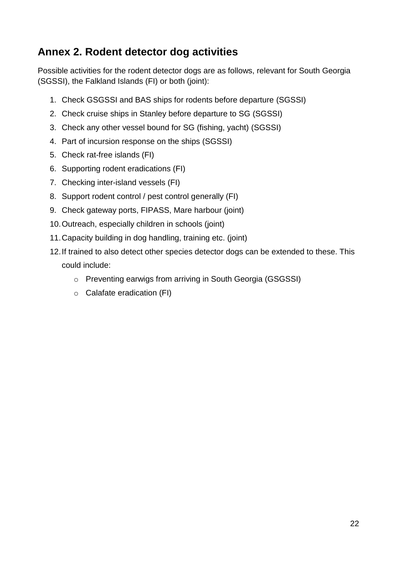## <span id="page-21-0"></span>**Annex 2. Rodent detector dog activities**

Possible activities for the rodent detector dogs are as follows, relevant for South Georgia (SGSSI), the Falkland Islands (FI) or both (joint):

- 1. Check GSGSSI and BAS ships for rodents before departure (SGSSI)
- 2. Check cruise ships in Stanley before departure to SG (SGSSI)
- 3. Check any other vessel bound for SG (fishing, yacht) (SGSSI)
- 4. Part of incursion response on the ships (SGSSI)
- 5. Check rat-free islands (FI)
- 6. Supporting rodent eradications (FI)
- 7. Checking inter-island vessels (FI)
- 8. Support rodent control / pest control generally (FI)
- 9. Check gateway ports, FIPASS, Mare harbour (joint)
- 10.Outreach, especially children in schools (joint)
- 11.Capacity building in dog handling, training etc. (joint)
- 12.If trained to also detect other species detector dogs can be extended to these. This could include:
	- o Preventing earwigs from arriving in South Georgia (GSGSSI)
	- o Calafate eradication (FI)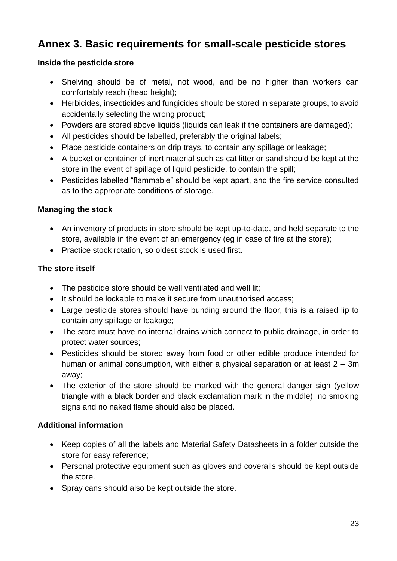## <span id="page-22-0"></span>**Annex 3. Basic requirements for small-scale pesticide stores**

#### **Inside the pesticide store**

- Shelving should be of metal, not wood, and be no higher than workers can comfortably reach (head height);
- Herbicides, insecticides and fungicides should be stored in separate groups, to avoid accidentally selecting the wrong product;
- Powders are stored above liquids (liquids can leak if the containers are damaged);
- All pesticides should be labelled, preferably the original labels;
- Place pesticide containers on drip trays, to contain any spillage or leakage;
- A bucket or container of inert material such as cat litter or sand should be kept at the store in the event of spillage of liquid pesticide, to contain the spill;
- Pesticides labelled "flammable" should be kept apart, and the fire service consulted as to the appropriate conditions of storage.

### **Managing the stock**

- An inventory of products in store should be kept up-to-date, and held separate to the store, available in the event of an emergency (eg in case of fire at the store);
- Practice stock rotation, so oldest stock is used first.

### **The store itself**

- The pesticide store should be well ventilated and well lit;
- It should be lockable to make it secure from unauthorised access:
- Large pesticide stores should have bunding around the floor, this is a raised lip to contain any spillage or leakage;
- The store must have no internal drains which connect to public drainage, in order to protect water sources;
- Pesticides should be stored away from food or other edible produce intended for human or animal consumption, with either a physical separation or at least 2 – 3m away;
- The exterior of the store should be marked with the general danger sign (yellow triangle with a black border and black exclamation mark in the middle); no smoking signs and no naked flame should also be placed.

### **Additional information**

- Keep copies of all the labels and Material Safety Datasheets in a folder outside the store for easy reference;
- Personal protective equipment such as gloves and coveralls should be kept outside the store.
- Spray cans should also be kept outside the store.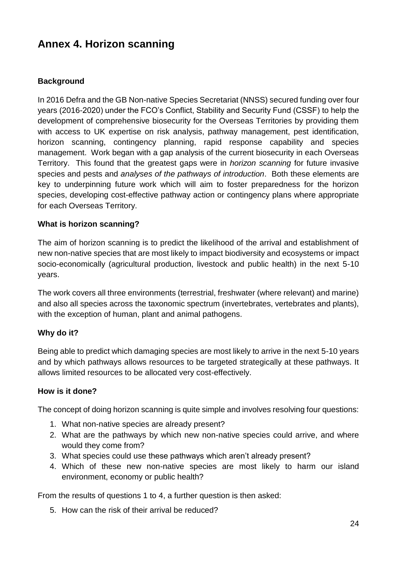## <span id="page-23-0"></span>**Annex 4. Horizon scanning**

### **Background**

In 2016 Defra and the GB Non-native Species Secretariat (NNSS) secured funding over four years (2016-2020) under the FCO's Conflict, Stability and Security Fund (CSSF) to help the development of comprehensive biosecurity for the Overseas Territories by providing them with access to UK expertise on risk analysis, pathway management, pest identification, horizon scanning, contingency planning, rapid response capability and species management. Work began with a gap analysis of the current biosecurity in each Overseas Territory. This found that the greatest gaps were in *horizon scanning* for future invasive species and pests and *analyses of the pathways of introduction*. Both these elements are key to underpinning future work which will aim to foster preparedness for the horizon species, developing cost-effective pathway action or contingency plans where appropriate for each Overseas Territory.

#### **What is horizon scanning?**

The aim of horizon scanning is to predict the likelihood of the arrival and establishment of new non-native species that are most likely to impact biodiversity and ecosystems or impact socio-economically (agricultural production, livestock and public health) in the next 5-10 years.

The work covers all three environments (terrestrial, freshwater (where relevant) and marine) and also all species across the taxonomic spectrum (invertebrates, vertebrates and plants), with the exception of human, plant and animal pathogens.

#### **Why do it?**

Being able to predict which damaging species are most likely to arrive in the next 5-10 years and by which pathways allows resources to be targeted strategically at these pathways. It allows limited resources to be allocated very cost-effectively.

#### **How is it done?**

The concept of doing horizon scanning is quite simple and involves resolving four questions:

- 1. What non-native species are already present?
- 2. What are the pathways by which new non-native species could arrive, and where would they come from?
- 3. What species could use these pathways which aren't already present?
- 4. Which of these new non-native species are most likely to harm our island environment, economy or public health?

From the results of questions 1 to 4, a further question is then asked:

5. How can the risk of their arrival be reduced?